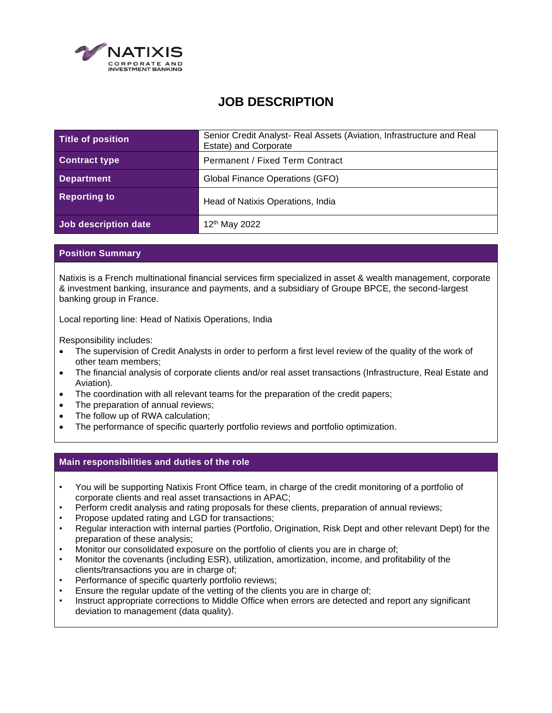

# **JOB DESCRIPTION**

| Title of position    | Senior Credit Analyst- Real Assets (Aviation, Infrastructure and Real<br>Estate) and Corporate |
|----------------------|------------------------------------------------------------------------------------------------|
| <b>Contract type</b> | <b>Permanent / Fixed Term Contract</b>                                                         |
| <b>Department</b>    | Global Finance Operations (GFO)                                                                |
| <b>Reporting to</b>  | Head of Natixis Operations, India                                                              |
| Job description date | 12 <sup>th</sup> May 2022                                                                      |

## **Position Summary**

Natixis is a French multinational financial services firm specialized in asset & wealth management, corporate & investment banking, insurance and payments, and a subsidiary of Groupe BPCE, the second-largest banking group in France.

Local reporting line: Head of Natixis Operations, India

Responsibility includes:

- The supervision of Credit Analysts in order to perform a first level review of the quality of the work of other team members;
- The financial analysis of corporate clients and/or real asset transactions (Infrastructure, Real Estate and Aviation).
- The coordination with all relevant teams for the preparation of the credit papers;
- The preparation of annual reviews;
- The follow up of RWA calculation;
- The performance of specific quarterly portfolio reviews and portfolio optimization.

#### **Main responsibilities and duties of the role**

- You will be supporting Natixis Front Office team, in charge of the credit monitoring of a portfolio of corporate clients and real asset transactions in APAC;
- Perform credit analysis and rating proposals for these clients, preparation of annual reviews;
- Propose updated rating and LGD for transactions;
- Regular interaction with internal parties (Portfolio, Origination, Risk Dept and other relevant Dept) for the preparation of these analysis;
- Monitor our consolidated exposure on the portfolio of clients you are in charge of;
- Monitor the covenants (including ESR), utilization, amortization, income, and profitability of the clients/transactions you are in charge of;
- Performance of specific quarterly portfolio reviews;
- Ensure the regular update of the vetting of the clients you are in charge of;
- Instruct appropriate corrections to Middle Office when errors are detected and report any significant deviation to management (data quality).